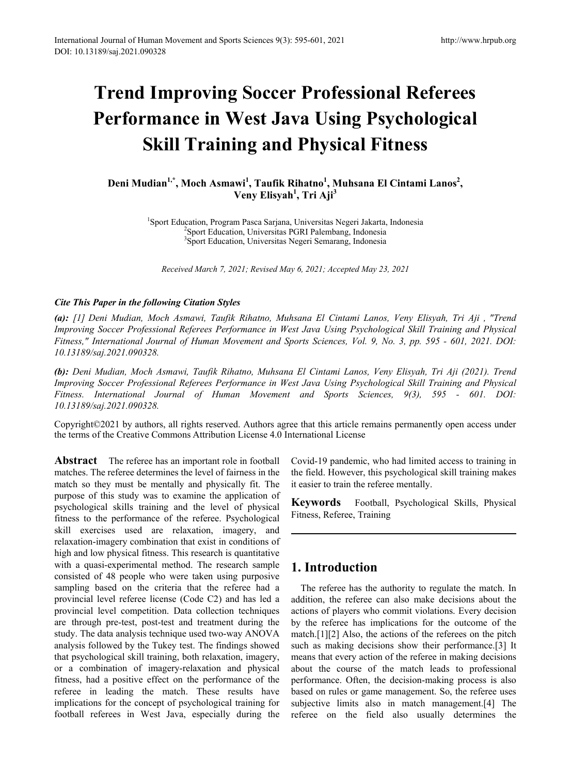# **Trend Improving Soccer Professional Referees Performance in West Java Using Psychological Skill Training and Physical Fitness**

# Deni Mudian<sup>1,\*</sup>, Moch Asmawi<sup>1</sup>, Taufik Rihatno<sup>1</sup>, Muhsana El Cintami Lanos<sup>2</sup>, **Veny Elisyah<sup>1</sup> , Tri Aji<sup>3</sup>**

<sup>1</sup>Sport Education, Program Pasca Sarjana, Universitas Negeri Jakarta, Indonesia<br><sup>2</sup>Sport Education, Universitas PGRI Palembang, Indonesia Sport Education, Universitas PGRI Palembang, Indonesia 3 Sport Education, Universitas Negeri Semarang, Indonesia

*Received March 7, 2021; Revised May 6, 2021; Accepted May 23, 2021*

## *Cite This Paper in the following Citation Styles*

*(a): [1] Deni Mudian, Moch Asmawi, Taufik Rihatno, Muhsana El Cintami Lanos, Veny Elisyah, Tri Aji , "Trend Improving Soccer Professional Referees Performance in West Java Using Psychological Skill Training and Physical Fitness," International Journal of Human Movement and Sports Sciences, Vol. 9, No. 3, pp. 595 - 601, 2021. DOI: 10.13189/saj.2021.090328.* 

*(b): Deni Mudian, Moch Asmawi, Taufik Rihatno, Muhsana El Cintami Lanos, Veny Elisyah, Tri Aji (2021). Trend Improving Soccer Professional Referees Performance in West Java Using Psychological Skill Training and Physical Fitness. International Journal of Human Movement and Sports Sciences, 9(3), 595 - 601. DOI: 10.13189/saj.2021.090328.* 

Copyright©2021 by authors, all rights reserved. Authors agree that this article remains permanently open access under the terms of the Creative Commons Attribution License 4.0 International License

**Abstract** The referee has an important role in football matches. The referee determines the level of fairness in the match so they must be mentally and physically fit. The purpose of this study was to examine the application of psychological skills training and the level of physical fitness to the performance of the referee. Psychological skill exercises used are relaxation, imagery, and relaxation-imagery combination that exist in conditions of high and low physical fitness. This research is quantitative with a quasi-experimental method. The research sample consisted of 48 people who were taken using purposive sampling based on the criteria that the referee had a provincial level referee license (Code C2) and has led a provincial level competition. Data collection techniques are through pre-test, post-test and treatment during the study. The data analysis technique used two-way ANOVA analysis followed by the Tukey test. The findings showed that psychological skill training, both relaxation, imagery, or a combination of imagery-relaxation and physical fitness, had a positive effect on the performance of the referee in leading the match. These results have implications for the concept of psychological training for football referees in West Java, especially during the

Covid-19 pandemic, who had limited access to training in the field. However, this psychological skill training makes it easier to train the referee mentally.

**Keywords** Football, Psychological Skills, Physical Fitness, Referee, Training

# **1. Introduction**

The referee has the authority to regulate the match. In addition, the referee can also make decisions about the actions of players who commit violations. Every decision by the referee has implications for the outcome of the match.[1][2] Also, the actions of the referees on the pitch such as making decisions show their performance.<sup>[3]</sup> It means that every action of the referee in making decisions about the course of the match leads to professional performance. Often, the decision-making process is also based on rules or game management. So, the referee uses subjective limits also in match management.[4] The referee on the field also usually determines the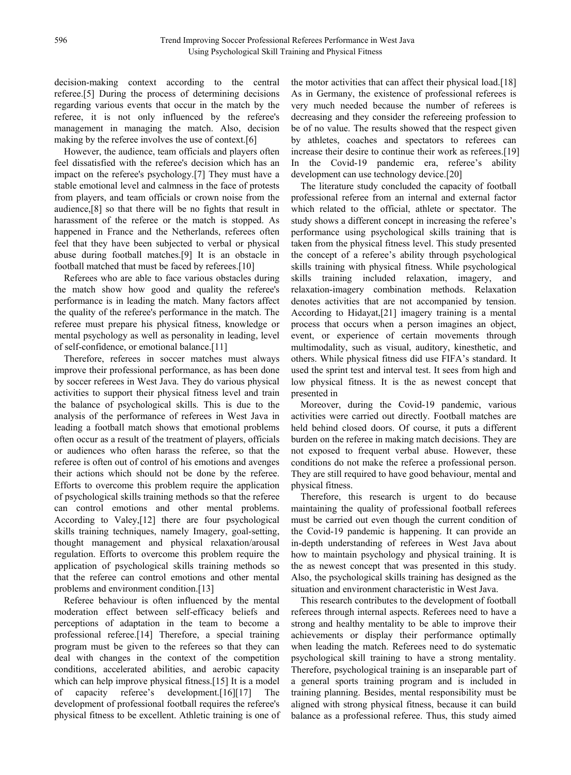decision-making context according to the central referee.[5] During the process of determining decisions regarding various events that occur in the match by the referee, it is not only influenced by the referee's management in managing the match. Also, decision making by the referee involves the use of context.[6]

However, the audience, team officials and players often feel dissatisfied with the referee's decision which has an impact on the referee's psychology.[7] They must have a stable emotional level and calmness in the face of protests from players, and team officials or crown noise from the audience,[8] so that there will be no fights that result in harassment of the referee or the match is stopped. As happened in France and the Netherlands, referees often feel that they have been subjected to verbal or physical abuse during football matches.[9] It is an obstacle in football matched that must be faced by referees.[10]

Referees who are able to face various obstacles during the match show how good and quality the referee's performance is in leading the match. Many factors affect the quality of the referee's performance in the match. The referee must prepare his physical fitness, knowledge or mental psychology as well as personality in leading, level of self-confidence, or emotional balance.[11]

Therefore, referees in soccer matches must always improve their professional performance, as has been done by soccer referees in West Java. They do various physical activities to support their physical fitness level and train the balance of psychological skills. This is due to the analysis of the performance of referees in West Java in leading a football match shows that emotional problems often occur as a result of the treatment of players, officials or audiences who often harass the referee, so that the referee is often out of control of his emotions and avenges their actions which should not be done by the referee. Efforts to overcome this problem require the application of psychological skills training methods so that the referee can control emotions and other mental problems. According to Valey,[12] there are four psychological skills training techniques, namely Imagery, goal-setting, thought management and physical relaxation/arousal regulation. Efforts to overcome this problem require the application of psychological skills training methods so that the referee can control emotions and other mental problems and environment condition.[13]

Referee behaviour is often influenced by the mental moderation effect between self-efficacy beliefs and perceptions of adaptation in the team to become a professional referee.[14] Therefore, a special training program must be given to the referees so that they can deal with changes in the context of the competition conditions, accelerated abilities, and aerobic capacity which can help improve physical fitness.[15] It is a model of capacity referee's development.[16][17] The development of professional football requires the referee's physical fitness to be excellent. Athletic training is one of the motor activities that can affect their physical load.[18] As in Germany, the existence of professional referees is very much needed because the number of referees is decreasing and they consider the refereeing profession to be of no value. The results showed that the respect given by athletes, coaches and spectators to referees can increase their desire to continue their work as referees.[19] In the Covid-19 pandemic era, referee's ability development can use technology device.[20]

The literature study concluded the capacity of football professional referee from an internal and external factor which related to the official, athlete or spectator. The study shows a different concept in increasing the referee's performance using psychological skills training that is taken from the physical fitness level. This study presented the concept of a referee's ability through psychological skills training with physical fitness. While psychological skills training included relaxation, imagery, and relaxation-imagery combination methods. Relaxation denotes activities that are not accompanied by tension. According to Hidayat,[21] imagery training is a mental process that occurs when a person imagines an object, event, or experience of certain movements through multimodality, such as visual, auditory, kinesthetic, and others. While physical fitness did use FIFA's standard. It used the sprint test and interval test. It sees from high and low physical fitness. It is the as newest concept that presented in

Moreover, during the Covid-19 pandemic, various activities were carried out directly. Football matches are held behind closed doors. Of course, it puts a different burden on the referee in making match decisions. They are not exposed to frequent verbal abuse. However, these conditions do not make the referee a professional person. They are still required to have good behaviour, mental and physical fitness.

Therefore, this research is urgent to do because maintaining the quality of professional football referees must be carried out even though the current condition of the Covid-19 pandemic is happening. It can provide an in-depth understanding of referees in West Java about how to maintain psychology and physical training. It is the as newest concept that was presented in this study. Also, the psychological skills training has designed as the situation and environment characteristic in West Java.

This research contributes to the development of football referees through internal aspects. Referees need to have a strong and healthy mentality to be able to improve their achievements or display their performance optimally when leading the match. Referees need to do systematic psychological skill training to have a strong mentality. Therefore, psychological training is an inseparable part of a general sports training program and is included in training planning. Besides, mental responsibility must be aligned with strong physical fitness, because it can build balance as a professional referee. Thus, this study aimed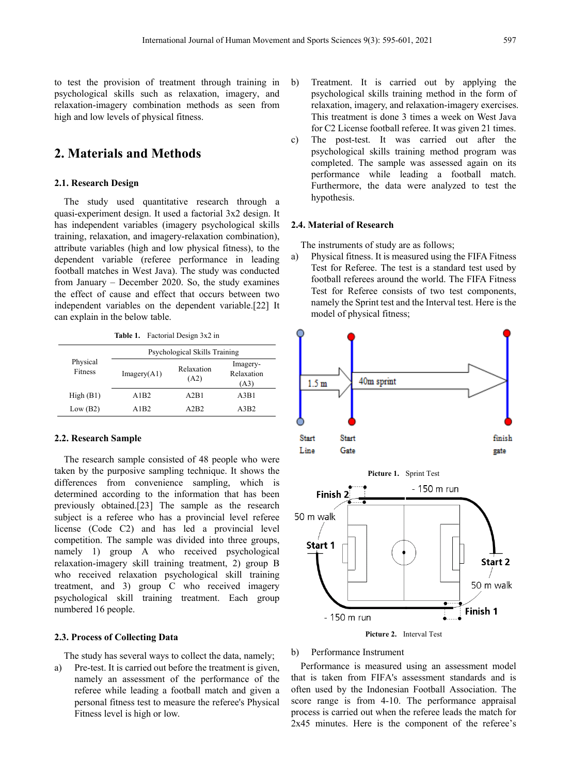to test the provision of treatment through training in psychological skills such as relaxation, imagery, and relaxation-imagery combination methods as seen from high and low levels of physical fitness.

## **2. Materials and Methods**

#### **2.1. Research Design**

The study used quantitative research through a quasi-experiment design. It used a factorial 3x2 design. It has independent variables (imagery psychological skills training, relaxation, and imagery-relaxation combination), attribute variables (high and low physical fitness), to the dependent variable (referee performance in leading football matches in West Java). The study was conducted from January – December 2020. So, the study examines the effect of cause and effect that occurs between two independent variables on the dependent variable.[22] It can explain in the below table.

**Table 1.** Factorial Design 3x2 in

|                            | Psychological Skills Training |                    |                                |  |  |  |  |
|----------------------------|-------------------------------|--------------------|--------------------------------|--|--|--|--|
| Physical<br><b>Fitness</b> | Imagery(A1)                   | Relaxation<br>(A2) | Imagery-<br>Relaxation<br>(A3) |  |  |  |  |
| High(B1)                   | A1B2                          | A2B1               | A3B1                           |  |  |  |  |
| Low (B2)                   | A1B2                          | A2B2               | A3B2                           |  |  |  |  |

#### **2.2. Research Sample**

The research sample consisted of 48 people who were taken by the purposive sampling technique. It shows the differences from convenience sampling, which is determined according to the information that has been previously obtained.[23] The sample as the research subject is a referee who has a provincial level referee license (Code C2) and has led a provincial level competition. The sample was divided into three groups, namely 1) group A who received psychological relaxation-imagery skill training treatment, 2) group B who received relaxation psychological skill training treatment, and 3) group C who received imagery psychological skill training treatment. Each group numbered 16 people.

#### **2.3. Process of Collecting Data**

The study has several ways to collect the data, namely;

a) Pre-test. It is carried out before the treatment is given, namely an assessment of the performance of the referee while leading a football match and given a personal fitness test to measure the referee's Physical Fitness level is high or low.

- b) Treatment. It is carried out by applying the psychological skills training method in the form of relaxation, imagery, and relaxation-imagery exercises. This treatment is done 3 times a week on West Java for C2 License football referee. It was given 21 times.
- c) The post-test. It was carried out after the psychological skills training method program was completed. The sample was assessed again on its performance while leading a football match. Furthermore, the data were analyzed to test the hypothesis.

#### **2.4. Material of Research**

The instruments of study are as follows;

a) Physical fitness. It is measured using the FIFA Fitness Test for Referee. The test is a standard test used by football referees around the world. The FIFA Fitness Test for Referee consists of two test components, namely the Sprint test and the Interval test. Here is the model of physical fitness;



**Picture 2.** Interval Test

#### b) Performance Instrument

Performance is measured using an assessment model that is taken from FIFA's assessment standards and is often used by the Indonesian Football Association. The score range is from 4-10. The performance appraisal process is carried out when the referee leads the match for 2x45 minutes. Here is the component of the referee's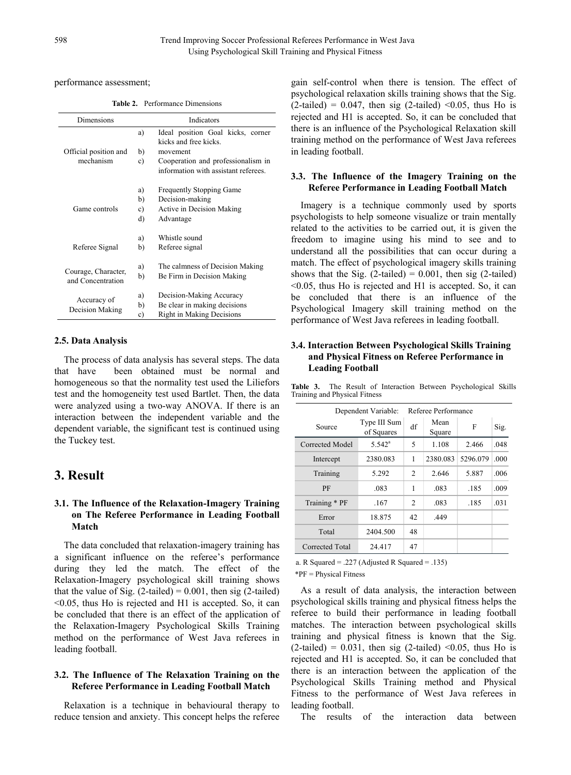performance assessment;

**Table 2.** Performance Dimensions

| Dimensions                               | Indicators |                                      |  |  |  |  |
|------------------------------------------|------------|--------------------------------------|--|--|--|--|
|                                          | a)         | Ideal position Goal kicks, corner    |  |  |  |  |
|                                          |            | kicks and free kicks.                |  |  |  |  |
| Official position and                    | b)         | movement                             |  |  |  |  |
| mechanism                                | c)         | Cooperation and professionalism in   |  |  |  |  |
|                                          |            | information with assistant referees. |  |  |  |  |
|                                          | a)         | <b>Frequently Stopping Game</b>      |  |  |  |  |
|                                          | b)         | Decision-making                      |  |  |  |  |
| Game controls                            | c)         | Active in Decision Making            |  |  |  |  |
|                                          | d)         | Advantage                            |  |  |  |  |
|                                          | a)         | Whistle sound                        |  |  |  |  |
| Referee Signal                           | b)         | Referee signal                       |  |  |  |  |
|                                          | a)         | The calmness of Decision Making      |  |  |  |  |
| Courage, Character,<br>and Concentration | b)         | Be Firm in Decision Making           |  |  |  |  |
|                                          | a)         | Decision-Making Accuracy             |  |  |  |  |
| Accuracy of                              | b)         | Be clear in making decisions         |  |  |  |  |
| Decision Making                          | c)         | <b>Right in Making Decisions</b>     |  |  |  |  |

#### **2.5. Data Analysis**

The process of data analysis has several steps. The data that have been obtained must be normal and homogeneous so that the normality test used the Liliefors test and the homogeneity test used Bartlet. Then, the data were analyzed using a two-way ANOVA. If there is an interaction between the independent variable and the dependent variable, the significant test is continued using the Tuckey test.

# **3. Result**

## **3.1. The Influence of the Relaxation-Imagery Training on The Referee Performance in Leading Football Match**

The data concluded that relaxation-imagery training has a significant influence on the referee's performance during they led the match. The effect of the Relaxation-Imagery psychological skill training shows that the value of Sig.  $(2$ -tailed) = 0.001, then sig  $(2$ -tailed) <0.05, thus Ho is rejected and H1 is accepted. So, it can be concluded that there is an effect of the application of the Relaxation-Imagery Psychological Skills Training method on the performance of West Java referees in leading football.

### **3.2. The Influence of The Relaxation Training on the Referee Performance in Leading Football Match**

Relaxation is a technique in behavioural therapy to reduce tension and anxiety. This concept helps the referee

gain self-control when there is tension. The effect of psychological relaxation skills training shows that the Sig.  $(2$ -tailed) = 0.047, then sig  $(2$ -tailed) <0.05, thus Ho is rejected and H1 is accepted. So, it can be concluded that there is an influence of the Psychological Relaxation skill training method on the performance of West Java referees in leading football.

#### **3.3. The Influence of the Imagery Training on the Referee Performance in Leading Football Match**

Imagery is a technique commonly used by sports psychologists to help someone visualize or train mentally related to the activities to be carried out, it is given the freedom to imagine using his mind to see and to understand all the possibilities that can occur during a match. The effect of psychological imagery skills training shows that the Sig.  $(2$ -tailed) = 0.001, then sig  $(2$ -tailed) <0.05, thus Ho is rejected and H1 is accepted. So, it can be concluded that there is an influence of the Psychological Imagery skill training method on the performance of West Java referees in leading football.

## **3.4. Interaction Between Psychological Skills Training and Physical Fitness on Referee Performance in Leading Football**

| Table 3. |  |                               |  | The Result of Interaction Between Psychological Skills |  |
|----------|--|-------------------------------|--|--------------------------------------------------------|--|
|          |  | Training and Physical Fitness |  |                                                        |  |

|                 | Dependent Variable:        | Referee Performance  |          |          |      |
|-----------------|----------------------------|----------------------|----------|----------|------|
| Source          | Type III Sum<br>of Squares | Mean<br>df<br>Square |          | F        | Sig. |
| Corrected Model | $5.542^a$                  | 5                    | 1.108    | 2.466    | .048 |
| Intercept       | 2380.083                   | 1                    | 2380.083 | 5296.079 | .000 |
| Training        | 5.292                      | 2                    | 2.646    | 5.887    | .006 |
| PF              | .083                       | 1                    | .083     | .185     | .009 |
| Training * PF   | .167                       | 2                    | .083     | .185     | .031 |
| Error           | 18.875                     | 42                   | .449     |          |      |
| Total           | 2404.500                   | 48                   |          |          |      |
| Corrected Total | 24.417                     | 47                   |          |          |      |

a. R Squared = .227 (Adjusted R Squared = .135) \*PF = Physical Fitness

As a result of data analysis, the interaction between psychological skills training and physical fitness helps the referee to build their performance in leading football matches. The interaction between psychological skills training and physical fitness is known that the Sig.  $(2-tailed) = 0.031$ , then sig  $(2-tailed) < 0.05$ , thus Ho is rejected and H1 is accepted. So, it can be concluded that there is an interaction between the application of the Psychological Skills Training method and Physical Fitness to the performance of West Java referees in leading football.

The results of the interaction data between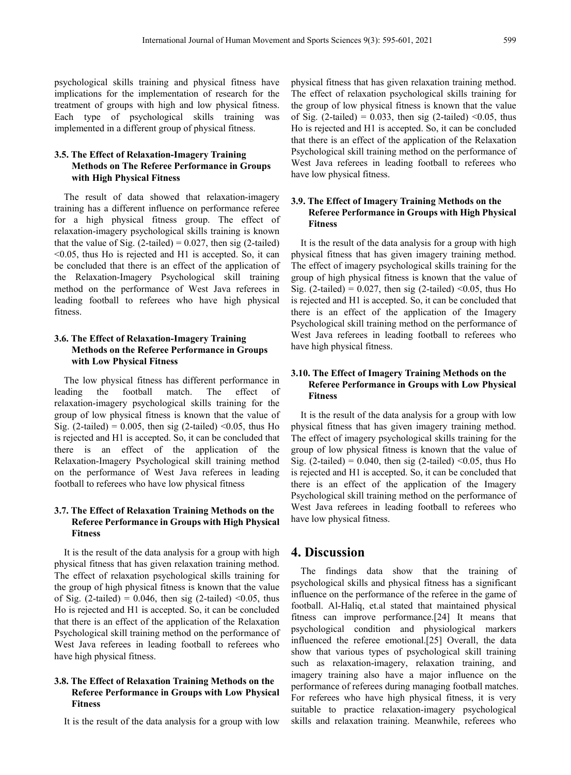psychological skills training and physical fitness have implications for the implementation of research for the treatment of groups with high and low physical fitness. Each type of psychological skills training was implemented in a different group of physical fitness.

## **3.5. The Effect of Relaxation-Imagery Training Methods on The Referee Performance in Groups with High Physical Fitness**

The result of data showed that relaxation-imagery training has a different influence on performance referee for a high physical fitness group. The effect of relaxation-imagery psychological skills training is known that the value of Sig.  $(2$ -tailed) = 0.027, then sig  $(2$ -tailed) <0.05, thus Ho is rejected and H1 is accepted. So, it can be concluded that there is an effect of the application of the Relaxation-Imagery Psychological skill training method on the performance of West Java referees in leading football to referees who have high physical fitness.

#### **3.6. The Effect of Relaxation-Imagery Training Methods on the Referee Performance in Groups with Low Physical Fitness**

The low physical fitness has different performance in leading the football match. The effect of relaxation-imagery psychological skills training for the group of low physical fitness is known that the value of Sig. (2-tailed) =  $0.005$ , then sig (2-tailed) < 0.05, thus Ho is rejected and H1 is accepted. So, it can be concluded that there is an effect of the application of the Relaxation-Imagery Psychological skill training method on the performance of West Java referees in leading football to referees who have low physical fitness

## **3.7. The Effect of Relaxation Training Methods on the Referee Performance in Groups with High Physical Fitness**

It is the result of the data analysis for a group with high physical fitness that has given relaxation training method. The effect of relaxation psychological skills training for the group of high physical fitness is known that the value of Sig. (2-tailed) =  $0.046$ , then sig (2-tailed) < 0.05, thus Ho is rejected and H1 is accepted. So, it can be concluded that there is an effect of the application of the Relaxation Psychological skill training method on the performance of West Java referees in leading football to referees who have high physical fitness.

#### **3.8. The Effect of Relaxation Training Methods on the Referee Performance in Groups with Low Physical Fitness**

It is the result of the data analysis for a group with low

physical fitness that has given relaxation training method. The effect of relaxation psychological skills training for the group of low physical fitness is known that the value of Sig. (2-tailed) =  $0.033$ , then sig (2-tailed) < 0.05, thus Ho is rejected and H1 is accepted. So, it can be concluded that there is an effect of the application of the Relaxation Psychological skill training method on the performance of West Java referees in leading football to referees who have low physical fitness.

## **3.9. The Effect of Imagery Training Methods on the Referee Performance in Groups with High Physical Fitness**

It is the result of the data analysis for a group with high physical fitness that has given imagery training method. The effect of imagery psychological skills training for the group of high physical fitness is known that the value of Sig. (2-tailed) =  $0.027$ , then sig (2-tailed) < 0.05, thus Ho is rejected and H1 is accepted. So, it can be concluded that there is an effect of the application of the Imagery Psychological skill training method on the performance of West Java referees in leading football to referees who have high physical fitness.

## **3.10. The Effect of Imagery Training Methods on the Referee Performance in Groups with Low Physical Fitness**

It is the result of the data analysis for a group with low physical fitness that has given imagery training method. The effect of imagery psychological skills training for the group of low physical fitness is known that the value of Sig. (2-tailed) =  $0.040$ , then sig (2-tailed) < 0.05, thus Ho is rejected and H1 is accepted. So, it can be concluded that there is an effect of the application of the Imagery Psychological skill training method on the performance of West Java referees in leading football to referees who have low physical fitness.

## **4. Discussion**

The findings data show that the training of psychological skills and physical fitness has a significant influence on the performance of the referee in the game of football. Al-Haliq, et.al stated that maintained physical fitness can improve performance.[24] It means that psychological condition and physiological markers influenced the referee emotional.[25] Overall, the data show that various types of psychological skill training such as relaxation-imagery, relaxation training, and imagery training also have a major influence on the performance of referees during managing football matches. For referees who have high physical fitness, it is very suitable to practice relaxation-imagery psychological skills and relaxation training. Meanwhile, referees who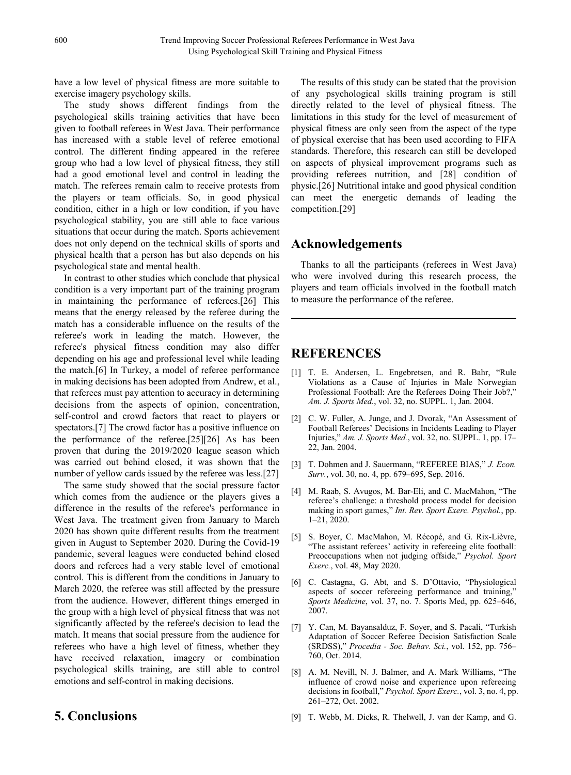have a low level of physical fitness are more suitable to exercise imagery psychology skills.

The study shows different findings from the psychological skills training activities that have been given to football referees in West Java. Their performance has increased with a stable level of referee emotional control. The different finding appeared in the referee group who had a low level of physical fitness, they still had a good emotional level and control in leading the match. The referees remain calm to receive protests from the players or team officials. So, in good physical condition, either in a high or low condition, if you have psychological stability, you are still able to face various situations that occur during the match. Sports achievement does not only depend on the technical skills of sports and physical health that a person has but also depends on his psychological state and mental health.

In contrast to other studies which conclude that physical condition is a very important part of the training program in maintaining the performance of referees.[26] This means that the energy released by the referee during the match has a considerable influence on the results of the referee's work in leading the match. However, the referee's physical fitness condition may also differ depending on his age and professional level while leading the match.[6] In Turkey, a model of referee performance in making decisions has been adopted from Andrew, et al., that referees must pay attention to accuracy in determining decisions from the aspects of opinion, concentration, self-control and crowd factors that react to players or spectators.[7] The crowd factor has a positive influence on the performance of the referee.[25][26] As has been proven that during the 2019/2020 league season which was carried out behind closed, it was shown that the number of yellow cards issued by the referee was less.[27]

The same study showed that the social pressure factor which comes from the audience or the players gives a difference in the results of the referee's performance in West Java. The treatment given from January to March 2020 has shown quite different results from the treatment given in August to September 2020. During the Covid-19 pandemic, several leagues were conducted behind closed doors and referees had a very stable level of emotional control. This is different from the conditions in January to March 2020, the referee was still affected by the pressure from the audience. However, different things emerged in the group with a high level of physical fitness that was not significantly affected by the referee's decision to lead the match. It means that social pressure from the audience for referees who have a high level of fitness, whether they have received relaxation, imagery or combination psychological skills training, are still able to control emotions and self-control in making decisions.

The results of this study can be stated that the provision of any psychological skills training program is still directly related to the level of physical fitness. The limitations in this study for the level of measurement of physical fitness are only seen from the aspect of the type of physical exercise that has been used according to FIFA standards. Therefore, this research can still be developed on aspects of physical improvement programs such as providing referees nutrition, and [28] condition of physic.[26] Nutritional intake and good physical condition can meet the energetic demands of leading the competition.[29]

# **Acknowledgements**

Thanks to all the participants (referees in West Java) who were involved during this research process, the players and team officials involved in the football match to measure the performance of the referee.

# **REFERENCES**

- [1] T. E. Andersen, L. Engebretsen, and R. Bahr, "Rule Violations as a Cause of Injuries in Male Norwegian Professional Football: Are the Referees Doing Their Job?," *Am. J. Sports Med.*, vol. 32, no. SUPPL. 1, Jan. 2004.
- [2] C. W. Fuller, A. Junge, and J. Dvorak, "An Assessment of Football Referees' Decisions in Incidents Leading to Player Injuries," *Am. J. Sports Med.*, vol. 32, no. SUPPL. 1, pp. 17– 22, Jan. 2004.
- [3] T. Dohmen and J. Sauermann, "REFEREE BIAS," *J. Econ. Surv.*, vol. 30, no. 4, pp. 679–695, Sep. 2016.
- [4] M. Raab, S. Avugos, M. Bar-Eli, and C. MacMahon, "The referee's challenge: a threshold process model for decision making in sport games," *Int. Rev. Sport Exerc. Psychol.*, pp. 1–21, 2020.
- [5] S. Boyer, C. MacMahon, M. Récopé, and G. Rix-Lièvre, "The assistant referees' activity in refereeing elite football: Preoccupations when not judging offside," *Psychol. Sport Exerc.*, vol. 48, May 2020.
- [6] C. Castagna, G. Abt, and S. D'Ottavio, "Physiological aspects of soccer refereeing performance and training," *Sports Medicine*, vol. 37, no. 7. Sports Med, pp. 625–646, 2007.
- [7] Y. Can, M. Bayansalduz, F. Soyer, and S. Pacali, "Turkish Adaptation of Soccer Referee Decision Satisfaction Scale (SRDSS)," *Procedia - Soc. Behav. Sci.*, vol. 152, pp. 756– 760, Oct. 2014.
- [8] A. M. Nevill, N. J. Balmer, and A. Mark Williams, "The influence of crowd noise and experience upon refereeing decisions in football," *Psychol. Sport Exerc.*, vol. 3, no. 4, pp. 261–272, Oct. 2002.

**5. Conclusions**

[9] T. Webb, M. Dicks, R. Thelwell, J. van der Kamp, and G.